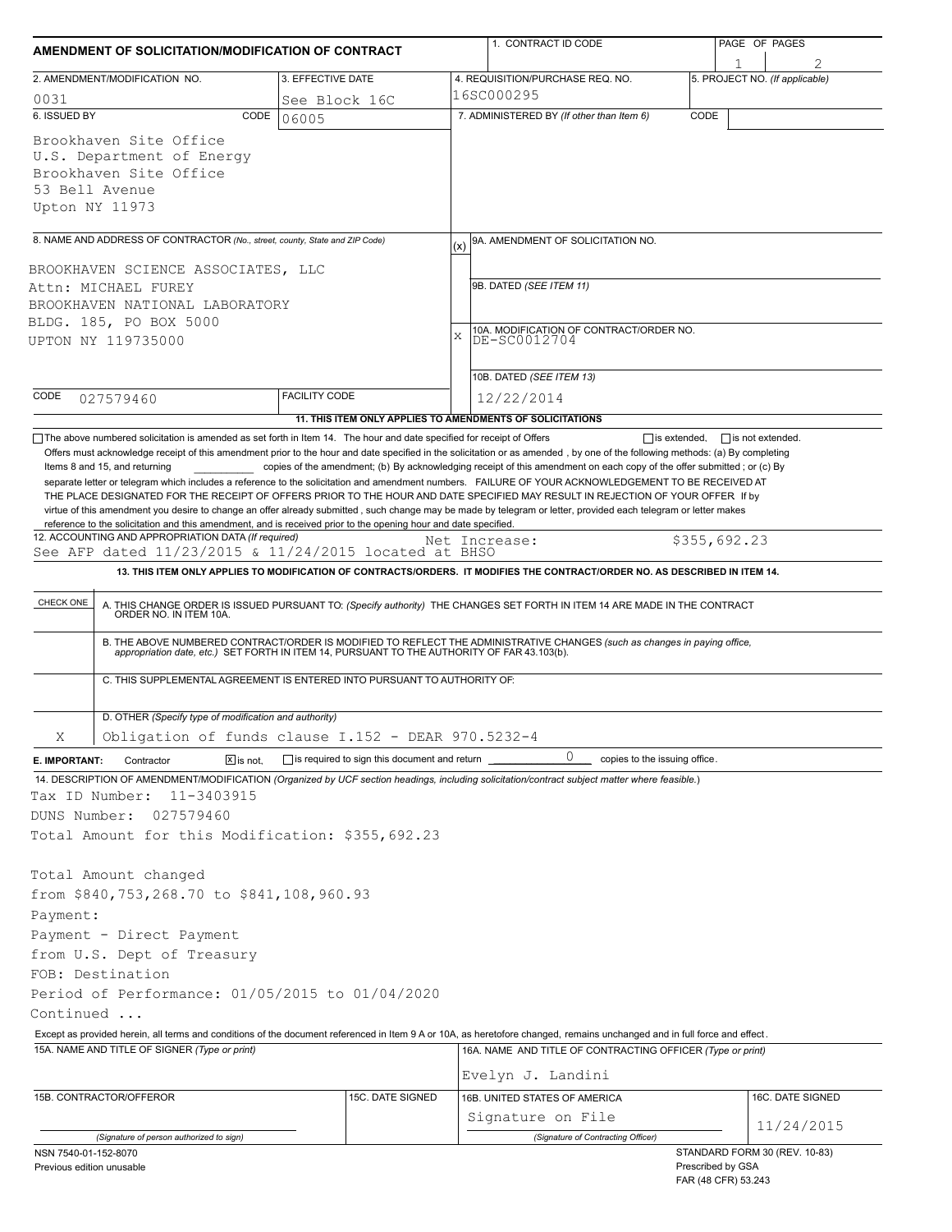| AMENDMENT OF SOLICITATION/MODIFICATION OF CONTRACT                                                                                                                                                                                                                                                                                                                                                                                                                                                                                                                                                                                                                                               |                                                                                                                             |               | 1. CONTRACT ID CODE                                        |                     |                                          | PAGE OF PAGES                  |  |  |
|--------------------------------------------------------------------------------------------------------------------------------------------------------------------------------------------------------------------------------------------------------------------------------------------------------------------------------------------------------------------------------------------------------------------------------------------------------------------------------------------------------------------------------------------------------------------------------------------------------------------------------------------------------------------------------------------------|-----------------------------------------------------------------------------------------------------------------------------|---------------|------------------------------------------------------------|---------------------|------------------------------------------|--------------------------------|--|--|
| 2. AMENDMENT/MODIFICATION NO.                                                                                                                                                                                                                                                                                                                                                                                                                                                                                                                                                                                                                                                                    | 3. EFFECTIVE DATE                                                                                                           |               | 4. REQUISITION/PURCHASE REQ. NO.                           |                     |                                          | 5. PROJECT NO. (If applicable) |  |  |
| 0031                                                                                                                                                                                                                                                                                                                                                                                                                                                                                                                                                                                                                                                                                             | See Block 16C                                                                                                               |               | 16SC000295                                                 |                     |                                          |                                |  |  |
| 6. ISSUED BY<br>CODE                                                                                                                                                                                                                                                                                                                                                                                                                                                                                                                                                                                                                                                                             | 06005                                                                                                                       |               | 7. ADMINISTERED BY (If other than Item 6)                  | CODE                |                                          |                                |  |  |
| Brookhaven Site Office<br>U.S. Department of Energy<br>Brookhaven Site Office<br>53 Bell Avenue<br>Upton NY 11973                                                                                                                                                                                                                                                                                                                                                                                                                                                                                                                                                                                |                                                                                                                             |               |                                                            |                     |                                          |                                |  |  |
| 8. NAME AND ADDRESS OF CONTRACTOR (No., street, county, State and ZIP Code)                                                                                                                                                                                                                                                                                                                                                                                                                                                                                                                                                                                                                      |                                                                                                                             | (x)           | 9A. AMENDMENT OF SOLICITATION NO.                          |                     |                                          |                                |  |  |
|                                                                                                                                                                                                                                                                                                                                                                                                                                                                                                                                                                                                                                                                                                  |                                                                                                                             |               |                                                            |                     |                                          |                                |  |  |
| BROOKHAVEN SCIENCE ASSOCIATES, LLC<br>Attn: MICHAEL FUREY                                                                                                                                                                                                                                                                                                                                                                                                                                                                                                                                                                                                                                        |                                                                                                                             |               | 9B. DATED (SEE ITEM 11)                                    |                     |                                          |                                |  |  |
| BROOKHAVEN NATIONAL LABORATORY                                                                                                                                                                                                                                                                                                                                                                                                                                                                                                                                                                                                                                                                   |                                                                                                                             |               |                                                            |                     |                                          |                                |  |  |
| BLDG. 185, PO BOX 5000                                                                                                                                                                                                                                                                                                                                                                                                                                                                                                                                                                                                                                                                           |                                                                                                                             |               |                                                            |                     |                                          |                                |  |  |
| UPTON NY 119735000                                                                                                                                                                                                                                                                                                                                                                                                                                                                                                                                                                                                                                                                               |                                                                                                                             | X             | 10A. MODIFICATION OF CONTRACT/ORDER NO.<br>DE-SC0012704    |                     |                                          |                                |  |  |
|                                                                                                                                                                                                                                                                                                                                                                                                                                                                                                                                                                                                                                                                                                  |                                                                                                                             |               |                                                            |                     |                                          |                                |  |  |
|                                                                                                                                                                                                                                                                                                                                                                                                                                                                                                                                                                                                                                                                                                  |                                                                                                                             |               | 10B. DATED (SEE ITEM 13)                                   |                     |                                          |                                |  |  |
| CODE<br>027579460                                                                                                                                                                                                                                                                                                                                                                                                                                                                                                                                                                                                                                                                                | <b>FACILITY CODE</b>                                                                                                        |               | 12/22/2014                                                 |                     |                                          |                                |  |  |
| The above numbered solicitation is amended as set forth in Item 14. The hour and date specified for receipt of Offers                                                                                                                                                                                                                                                                                                                                                                                                                                                                                                                                                                            | 11. THIS ITEM ONLY APPLIES TO AMENDMENTS OF SOLICITATIONS                                                                   |               |                                                            | $\Box$ is extended, | $\Box$ is not extended.                  |                                |  |  |
| separate letter or telegram which includes a reference to the solicitation and amendment numbers. FAILURE OF YOUR ACKNOWLEDGEMENT TO BE RECEIVED AT<br>THE PLACE DESIGNATED FOR THE RECEIPT OF OFFERS PRIOR TO THE HOUR AND DATE SPECIFIED MAY RESULT IN REJECTION OF YOUR OFFER If by<br>virtue of this amendment you desire to change an offer already submitted, such change may be made by telegram or letter, provided each telegram or letter makes<br>reference to the solicitation and this amendment, and is received prior to the opening hour and date specified.<br>12. ACCOUNTING AND APPROPRIATION DATA (If required)<br>See AFP dated $11/23/2015$ & $11/24/2015$ located at BHSO |                                                                                                                             | Net Increase: |                                                            |                     | \$355,692.23                             |                                |  |  |
|                                                                                                                                                                                                                                                                                                                                                                                                                                                                                                                                                                                                                                                                                                  | 13. THIS ITEM ONLY APPLIES TO MODIFICATION OF CONTRACTS/ORDERS. IT MODIFIES THE CONTRACT/ORDER NO. AS DESCRIBED IN ITEM 14. |               |                                                            |                     |                                          |                                |  |  |
|                                                                                                                                                                                                                                                                                                                                                                                                                                                                                                                                                                                                                                                                                                  |                                                                                                                             |               |                                                            |                     |                                          |                                |  |  |
| CHECK ONE<br>A. THIS CHANGE ORDER IS ISSUED PURSUANT TO: (Specify authority) THE CHANGES SET FORTH IN ITEM 14 ARE MADE IN THE CONTRACT ORDER NO. IN ITEM 10A.                                                                                                                                                                                                                                                                                                                                                                                                                                                                                                                                    |                                                                                                                             |               |                                                            |                     |                                          |                                |  |  |
|                                                                                                                                                                                                                                                                                                                                                                                                                                                                                                                                                                                                                                                                                                  |                                                                                                                             |               |                                                            |                     |                                          |                                |  |  |
| B. THE ABOVE NUMBERED CONTRACT/ORDER IS MODIFIED TO REFLECT THE ADMINISTRATIVE CHANGES (such as changes in paying office, appropriation date, etc.) SET FORTH IN ITEM 14, PURSUANT TO THE AUTHORITY OF FAR 43.103(b).                                                                                                                                                                                                                                                                                                                                                                                                                                                                            |                                                                                                                             |               |                                                            |                     |                                          |                                |  |  |
| C. THIS SUPPLEMENTAL AGREEMENT IS ENTERED INTO PURSUANT TO AUTHORITY OF:                                                                                                                                                                                                                                                                                                                                                                                                                                                                                                                                                                                                                         |                                                                                                                             |               |                                                            |                     |                                          |                                |  |  |
|                                                                                                                                                                                                                                                                                                                                                                                                                                                                                                                                                                                                                                                                                                  |                                                                                                                             |               |                                                            |                     |                                          |                                |  |  |
| D. OTHER (Specify type of modification and authority)                                                                                                                                                                                                                                                                                                                                                                                                                                                                                                                                                                                                                                            |                                                                                                                             |               |                                                            |                     |                                          |                                |  |  |
| Obligation of funds clause I.152 - DEAR 970.5232-4<br>Χ                                                                                                                                                                                                                                                                                                                                                                                                                                                                                                                                                                                                                                          |                                                                                                                             |               |                                                            |                     |                                          |                                |  |  |
| Contractor<br>$X$ is not.<br>E. IMPORTANT:                                                                                                                                                                                                                                                                                                                                                                                                                                                                                                                                                                                                                                                       | is required to sign this document and return                                                                                |               | 0<br>copies to the issuing office.                         |                     |                                          |                                |  |  |
| 14. DESCRIPTION OF AMENDMENT/MODIFICATION (Organized by UCF section headings, including solicitation/contract subject matter where feasible.)                                                                                                                                                                                                                                                                                                                                                                                                                                                                                                                                                    |                                                                                                                             |               |                                                            |                     |                                          |                                |  |  |
| Tax ID Number:<br>11-3403915<br>DUNS Number:<br>027579460                                                                                                                                                                                                                                                                                                                                                                                                                                                                                                                                                                                                                                        |                                                                                                                             |               |                                                            |                     |                                          |                                |  |  |
| Total Amount for this Modification: \$355,692.23                                                                                                                                                                                                                                                                                                                                                                                                                                                                                                                                                                                                                                                 |                                                                                                                             |               |                                                            |                     |                                          |                                |  |  |
|                                                                                                                                                                                                                                                                                                                                                                                                                                                                                                                                                                                                                                                                                                  |                                                                                                                             |               |                                                            |                     |                                          |                                |  |  |
| Total Amount changed                                                                                                                                                                                                                                                                                                                                                                                                                                                                                                                                                                                                                                                                             |                                                                                                                             |               |                                                            |                     |                                          |                                |  |  |
| from \$840,753,268.70 to \$841,108,960.93                                                                                                                                                                                                                                                                                                                                                                                                                                                                                                                                                                                                                                                        |                                                                                                                             |               |                                                            |                     |                                          |                                |  |  |
| Payment:                                                                                                                                                                                                                                                                                                                                                                                                                                                                                                                                                                                                                                                                                         |                                                                                                                             |               |                                                            |                     |                                          |                                |  |  |
| Payment - Direct Payment                                                                                                                                                                                                                                                                                                                                                                                                                                                                                                                                                                                                                                                                         |                                                                                                                             |               |                                                            |                     |                                          |                                |  |  |
| from U.S. Dept of Treasury                                                                                                                                                                                                                                                                                                                                                                                                                                                                                                                                                                                                                                                                       |                                                                                                                             |               |                                                            |                     |                                          |                                |  |  |
| FOB: Destination                                                                                                                                                                                                                                                                                                                                                                                                                                                                                                                                                                                                                                                                                 |                                                                                                                             |               |                                                            |                     |                                          |                                |  |  |
| Period of Performance: 01/05/2015 to 01/04/2020                                                                                                                                                                                                                                                                                                                                                                                                                                                                                                                                                                                                                                                  |                                                                                                                             |               |                                                            |                     |                                          |                                |  |  |
| Continued                                                                                                                                                                                                                                                                                                                                                                                                                                                                                                                                                                                                                                                                                        |                                                                                                                             |               |                                                            |                     |                                          |                                |  |  |
| Except as provided herein, all terms and conditions of the document referenced in Item 9 A or 10A, as heretofore changed, remains unchanged and in full force and effect.                                                                                                                                                                                                                                                                                                                                                                                                                                                                                                                        |                                                                                                                             |               |                                                            |                     |                                          |                                |  |  |
| 15A. NAME AND TITLE OF SIGNER (Type or print)                                                                                                                                                                                                                                                                                                                                                                                                                                                                                                                                                                                                                                                    |                                                                                                                             |               | 16A. NAME AND TITLE OF CONTRACTING OFFICER (Type or print) |                     |                                          |                                |  |  |
|                                                                                                                                                                                                                                                                                                                                                                                                                                                                                                                                                                                                                                                                                                  |                                                                                                                             |               | Evelyn J. Landini                                          |                     |                                          |                                |  |  |
| 15B. CONTRACTOR/OFFEROR                                                                                                                                                                                                                                                                                                                                                                                                                                                                                                                                                                                                                                                                          | 15C. DATE SIGNED                                                                                                            |               | 16B. UNITED STATES OF AMERICA                              |                     |                                          | 16C. DATE SIGNED               |  |  |
|                                                                                                                                                                                                                                                                                                                                                                                                                                                                                                                                                                                                                                                                                                  |                                                                                                                             |               | Signature on File                                          |                     |                                          |                                |  |  |
| (Signature of person authorized to sign)                                                                                                                                                                                                                                                                                                                                                                                                                                                                                                                                                                                                                                                         |                                                                                                                             |               | (Signature of Contracting Officer)                         |                     |                                          | 11/24/2015                     |  |  |
| NSN 7540-01-152-8070                                                                                                                                                                                                                                                                                                                                                                                                                                                                                                                                                                                                                                                                             |                                                                                                                             |               |                                                            |                     |                                          | STANDARD FORM 30 (REV. 10-83)  |  |  |
| Previous edition unusable                                                                                                                                                                                                                                                                                                                                                                                                                                                                                                                                                                                                                                                                        |                                                                                                                             |               |                                                            |                     | Prescribed by GSA<br>FAR (48 CFR) 53.243 |                                |  |  |